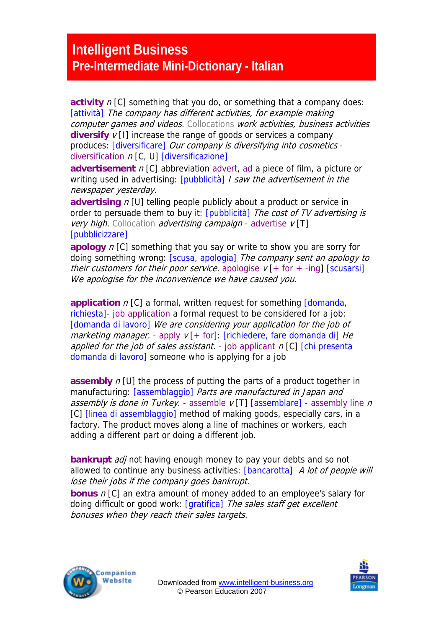## **Intelligent Business Pre-Intermediate Mini-Dictionary - Italian**

**activity** n [C] something that you do, or something that a company does: [attività] The company has different activities, for example making computer games and videos. Collocations work activities, business activities **diversify**  $v$  [I] increase the range of goods or services a company produces: [diversificare] Our company is diversifying into cosmetics diversification  $n$  [C, U] [diversificazione]

**advertisement** n [C] abbreviation advert, ad a piece of film, a picture or writing used in advertising: *[pubblicità] I saw the advertisement in the* newspaper yesterday.

**advertising** *n* [U] telling people publicly about a product or service in order to persuade them to buy it: [pubblicità] The cost of TV advertising is *very high.* Collocation *advertising campaign* - advertise  $v[T]$ [pubblicizzare]

doing something wrong: [scusa, apologia] The company sent an apology to **apology** n [C] something that you say or write to show you are sorry for their customers for their poor service. apologise  $v$  [+ for + -ing] [scusarsi] We apologise for the inconvenience we have caused you.

**application** *n* [C] a formal, written request for something *domanda*, richiesta]- job application a formal request to be considered for a job: [domanda di lavoro] We are considering your application for the job of marketing manager. - apply  $v$  [+ for]: [richiedere, fare domanda di] He applied for the job of sales assistant.  $\overline{\cdot}$  job applicant n[C] [chi presenta domanda di lavoro] someone who is applying for a job

**assembly** *n* [U] the process of putting the parts of a product together in manufacturing: [assemblaggio] Parts are manufactured in Japan and assembly is done in Turkey. - assemble  $v$  [T] [assemblare] - assembly line n [C] *[linea di assemblaggio]* method of making goods, especially cars, in a factory. The product moves along a line of machines or workers, each adding a different part or doing a different job.

lose their jobs if the company goes bankrupt. **bankrupt** *adj* not having enough money to pay your debts and so not allowed to continue any business activities: [bancarotta] A lot of people will

**bonus**  $n$  [C] an extra amount of money added to an employee's salary for doing difficult or good work: [gratifica] The sales staff get excellent bonuses when they reach their sales targets.



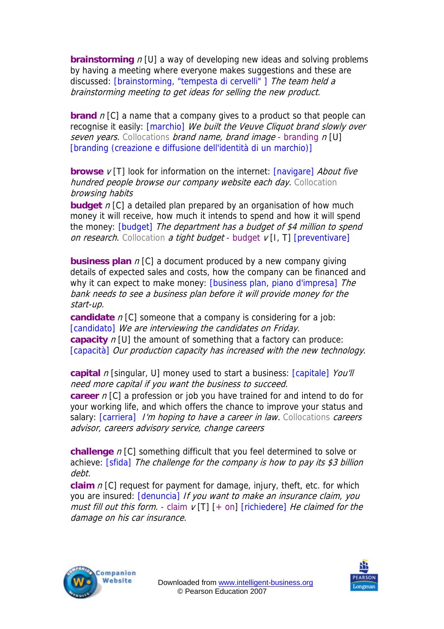**brainstorming**  $n$  [U] a way of developing new ideas and solving problems by having a meeting where everyone makes suggestions and these are discussed: [brainstorming, "tempesta di cervelli"] The team held a brainstorming meeting to get ideas for selling the new product.

**brand** n [C] a name that a company gives to a product so that people can recognise it easily: [marchio] We built the Veuve Cliquot brand slowly over seven years. Collocations brand name, brand image - branding  $n[U]$ [branding (creazione e diffusione dell'identità di un marchio)]

**browse**  $v$  [T] look for information on the internet: [navigare] About five hundred people browse our company website each day. Collocation browsing habits

**budget** n [C] a detailed plan prepared by an organisation of how much money it will receive, how much it intends to spend and how it will spend the money: [budget] The department has a budget of \$4 million to spend on research. Collocation a tight budget - budget  $\nu$  [I, T] [preventivare]

**business plan** *n* [C] a document produced by a new company giving details of expected sales and costs, how the company can be financed and why it can expect to make money: [business plan, piano d'impresa] The bank needs to see a business plan before it will provide money for the start-up.

**candidate** n [C] someone that a company is considering for a job: [candidato] We are interviewing the candidates on Friday. **capacity** n [U] the amount of something that a factory can produce: [capacità] Our production capacity has increased with the new technology.

**capital** *n* [singular, U] money used to start a business: [capitale] You'll need more capital if you want the business to succeed. **career** n [C] a profession or job you have trained for and intend to do for your working life, and which offers the chance to improve your status and salary: [carriera] I'm hoping to have a career in law. Collocations careers advisor, careers advisory service, change careers

**challenge** n [C] something difficult that you feel determined to solve or achieve: [sfida] The challenge for the company is how to pay its \$3 billion debt.

you are insured: [denuncia] If you want to make an insurance claim, you **claim** n [C] request for payment for damage, injury, theft, etc. for which must fill out this form. - claim  $v[T]$  [+ on] [richiedere] He claimed for the damage on his car insurance.



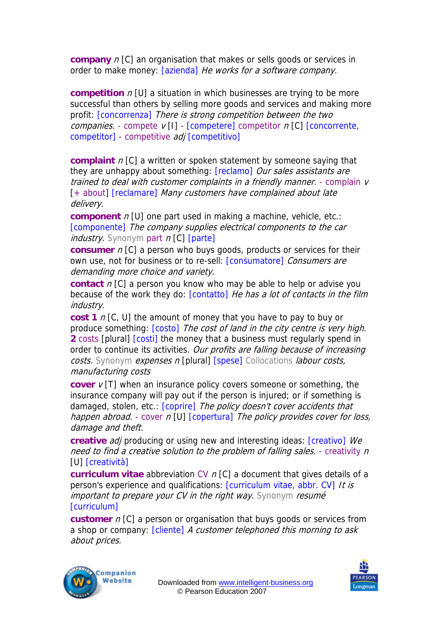**company** n [C] an organisation that makes or sells goods or services in order to make money: [azienda] He works for a software company.

**competition**  $n$  [U] a situation in which businesses are trying to be more successful than others by selling more goods and services and making more profit: [concorrenza] There is strong competition between the two companies. - compete  $v[1]$  - [competere] competitor  $n[C]$  [concorrente, competitor] - competitive *adj* [competitivo]

**complaint** n[C] a written or spoken statement by someone saying that they are unhappy about something: [reclamo] Our sales assistants are trained to deal with customer complaints in a friendly manner. - complain v [+ about] [reclamare] Many customers have complained about late delivery.

**component** *n* [U] one part used in making a machine, vehicle, etc.: [componente] The company supplies electrical components to the car  $industry$ . Synonym part  $n$  [C] [parte]

**consumer**  $n$  [C] a person who buys goods, products or services for their own use, not for business or to re-sell: [consumatore] Consumers are demanding more choice and variety.

**contact** n [C] a person you know who may be able to help or advise you because of the work they do: [contatto] He has a lot of contacts in the film industry.

manufacturing costs **cost 1** n [C, U] the amount of money that you have to pay to buy or produce something:  $[costo]$  The cost of land in the city centre is very high. **2** costs [plural] [costi] the money that a business must regularly spend in order to continue its activities. Our profits are falling because of increasing costs. Synonym expenses n [plural] [spese] Collocations labour costs,

happen abroad. - cover n [U] [copertura] The policy provides cover for loss, **cover**  $v[T]$  when an insurance policy covers someone or something, the insurance company will pay out if the person is injured; or if something is damaged, stolen, etc.: [coprire] The policy doesn't cover accidents that damage and theft.

need to find a creative solution to the problem of falling sales. - creativity n **creative** *adj* producing or using new and interesting ideas: [creativo] We [U] [creatività]

**curriculum vitae** abbreviation CV n [C] a document that gives details of a person's experience and qualifications: [curriculum vitae, abbr. CV] It is important to prepare your CV in the right way. Synonym resumé [curriculum]

**customer** *n* [C] a person or organisation that buys goods or services from a shop or company: [cliente] A customer telephoned this morning to ask about prices.



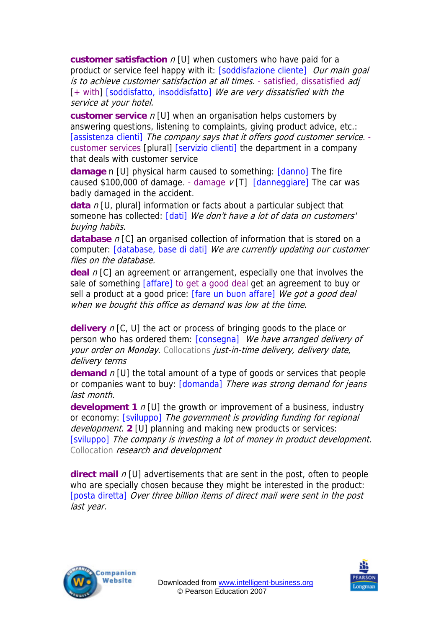**customer satisfaction** n [U] when customers who have paid for a product or service feel happy with it: [soddisfazione cliente] Our main goal is to achieve customer satisfaction at all times. - satisfied, dissatisfied adj [+ with] [soddisfatto, insoddisfatto] We are very dissatisfied with the service at your hotel.

**customer service** n [U] when an organisation helps customers by answering questions, listening to complaints, giving product advice, etc.: [assistenza clienti] The company says that it offers good customer service. customer services [plural] [servizio clienti] the department in a company that deals with customer service

**damage** n [U] physical harm caused to something: [danno] The fire caused \$100,000 of damage. - damage  $\nu$  [T] [danneggiare] The car was badly damaged in the accident.

**data** n [U, plural] information or facts about a particular subject that someone has collected: [dati] We don't have a lot of data on customers' buying habits.

**database** *n* [C] an organised collection of information that is stored on a computer: [database, base di dati] We are currently updating our customer files on the database.

**deal** n [C] an agreement or arrangement, especially one that involves the sale of something [affare] to get a good deal get an agreement to buy or sell a product at a good price: [fare un buon affare] We got a good deal when we bought this office as demand was low at the time.

**delivery** n [C, U] the act or process of bringing goods to the place or person who has ordered them: [consegna] We have arranged delivery of your order on Monday. Collocations just-in-time delivery, delivery date, delivery terms

**demand** n [U] the total amount of a type of goods or services that people or companies want to buy: [domanda] There was strong demand for jeans last month.

[sviluppo] The company is investing a lot of money in product development. **development 1** n [U] the growth or improvement of a business, industry or economy: [sviluppo] The government is providing funding for regional development. **2** [U] planning and making new products or services: Collocation research and development

**direct mail**  $n$  [U] advertisements that are sent in the post, often to people who are specially chosen because they might be interested in the product: [posta diretta] Over three billion items of direct mail were sent in the post last year.



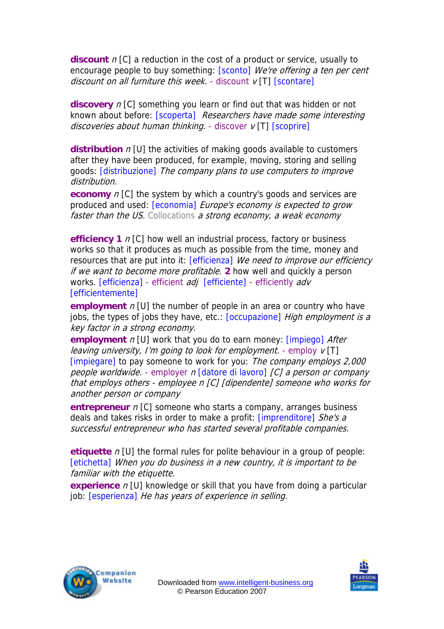**discount**  $n$  [C] a reduction in the cost of a product or service, usually to encourage people to buy something: [sconto] We're offering a ten per cent discount on all furniture this week. - discount  $v[T]$  [scontare]

**discovery** n [C] something you learn or find out that was hidden or not known about before: [scoperta] Researchers have made some interesting discoveries about human thinking. - discover  $v$  [T]  $[scoprier]$ 

**distribution** *n* [U] the activities of making goods available to customers after they have been produced, for example, moving, storing and selling goods: [distribuzione] The company plans to use computers to improve distribution.

**economy** n [C] the system by which a country's goods and services are produced and used:  $[economia]$  *Europe's economy is expected to grow* faster than the US. Collocations a strong economy, a weak economy

**efficiency 1** n [C] how well an industrial process, factory or business works so that it produces as much as possible from the time, money and resources that are put into it: [efficienza] We need to improve our efficiency if we want to become more profitable. **2** how well and quickly a person works. [efficienza] - efficient adj [efficiente] - efficiently adv [efficientemente]

**employment** n [U] the number of people in an area or country who have jobs, the types of jobs they have, etc.: [occupazione] High employment is a key factor in a strong economy.

**employment** *n* [U] work that you do to earn money: [impiego] *After* leaving university, I'm going to look for employment. - employ  $v[T]$ [impiegare] to pay someone to work for you: The company employs 2,000 people worldwide. - employer n [datore di lavoro] [C] a person or company that employs others - employee n [C] [dipendente] someone who works for another person or company

**entrepreneur** *n* [C] someone who starts a company, arranges business deals and takes risks in order to make a profit: [imprenditore] She's a successful entrepreneur who has started several profitable companies.

**etiquette** n [U] the formal rules for polite behaviour in a group of people: [etichetta] When you do business in a new country, it is important to be familiar with the etiquette.

**experience** *n* [U] knowledge or skill that you have from doing a particular job: **[esperienza]** He has years of experience in selling.



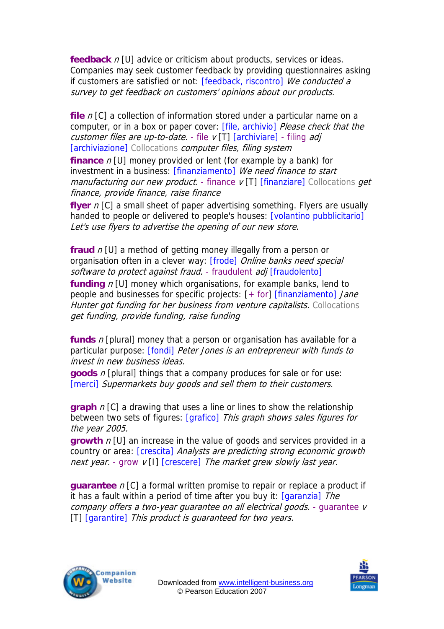**feedback** n [U] advice or criticism about products, services or ideas. Companies may seek customer feedback by providing questionnaires asking if customers are satisfied or not: [feedback, riscontro] We conducted a survey to get feedback on customers' opinions about our products.

manufacturing our new product. - finance v [T] [finanziare] Collocations get **file** n [C] a collection of information stored under a particular name on a computer, or in a box or paper cover: [file, archivio] Please check that the customer files are up-to-date.  $\overline{\cdot}$  file  $\overline{v}$  [T] [archiviare] - filing adj [archiviazione] Collocations computer files, filing system **finance** n [U] money provided or lent (for example by a bank) for investment in a business: [finanziamento] We need finance to start finance, provide finance, raise finance

**flyer** n [C] a small sheet of paper advertising something. Flyers are usually handed to people or delivered to people's houses: [volantino pubblicitario] Let's use flyers to advertise the opening of our new store.

**fraud** n [U] a method of getting money illegally from a person or organisation often in a clever way: [frode] Online banks need special software to protect against fraud. - fraudulent adj [fraudolento] **funding** n [U] money which organisations, for example banks, lend to people and businesses for specific projects:  $[+$  for]  $[finanziamento]$  Jane Hunter got funding for her business from venture capitalists. Collocations get funding, provide funding, raise funding

**funds** n [plural] money that a person or organisation has available for a particular purpose: [fondi] Peter Jones is an entrepreneur with funds to invest in new business ideas.

**goods** n [plural] things that a company produces for sale or for use: [merci] Supermarkets buy goods and sell them to their customers.

**graph** n [C] a drawing that uses a line or lines to show the relationship between two sets of figures: [grafico] This graph shows sales figures for the year 2005.

**growth**  $n$  [U] an increase in the value of goods and services provided in a country or area: [crescita] Analysts are predicting strong economic growth next year. - grow  $v[1]$  [crescere] The market grew slowly last year.

**guarantee** n [C] a formal written promise to repair or replace a product if it has a fault within a period of time after you buy it:  $[garanzia]$  The company offers a two-year quarantee on all electrical goods. - quarantee v [T] [garantire] This product is guaranteed for two years.



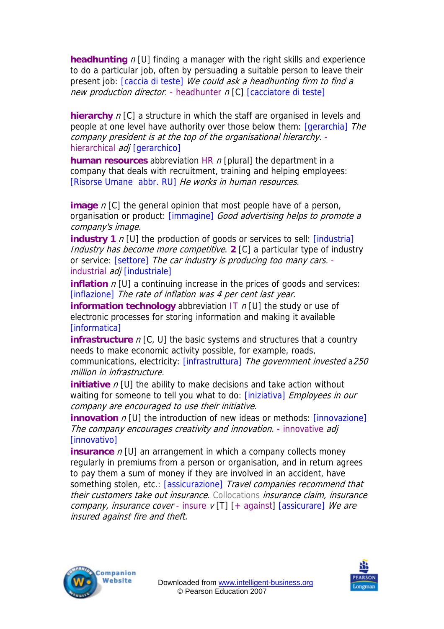**headhunting**  $n$  [U] finding a manager with the right skills and experience to do a particular job, often by persuading a suitable person to leave their present job: [caccia di teste] We could ask a headhunting firm to find a new production director. - headhunter  $n$  [C] [cacciatore di teste]

**hierarchy** *n* [C] a structure in which the staff are organised in levels and people at one level have authority over those below them: [gerarchia] The company president is at the top of the organisational hierarchy. hierarchical *adj* [gerarchico]

**human resources** abbreviation HR n [plural] the department in a company that deals with recruitment, training and helping employees: [Risorse Umane abbr. RU] He works in human resources.

**image** *n* [C] the general opinion that most people have of a person, organisation or product: [immagine] Good advertising helps to promote a company's image.

**industry 1** n [U] the production of goods or services to sell: [industria] Industry has become more competitive. **2** [C] a particular type of industry or service: [settore] The car industry is producing too many cars. industrial adj [industriale]

**inflation**  $n$  [U] a continuing increase in the prices of goods and services: [inflazione] The rate of inflation was 4 per cent last year.

**information technology** abbreviation IT  $n$  [U] the study or use of electronic processes for storing information and making it available [informatica]

communications, electricity: [infrastruttura] The government invested a250 **infrastructure**  $n$  [C, U] the basic systems and structures that a country needs to make economic activity possible, for example, roads, million in infrastructure.

**initiative** *n* [U] the ability to make decisions and take action without waiting for someone to tell you what to do: [iniziativa] Employees in our company are encouraged to use their initiative.

**innovation** n [U] the introduction of new ideas or methods: [innovazione] The company encourages creativity and innovation. - innovative adj **[innovativo]** 

**insurance**  $n$  [U] an arrangement in which a company collects money regularly in premiums from a person or organisation, and in return agrees to pay them a sum of money if they are involved in an accident, have something stolen, etc.: [assicurazione] Travel companies recommend that their customers take out insurance. Collocations insurance claim, insurance company, insurance cover - insure  $v$  [T]  $[+$  against]  $[$ assicurare] We are insured against fire and theft.



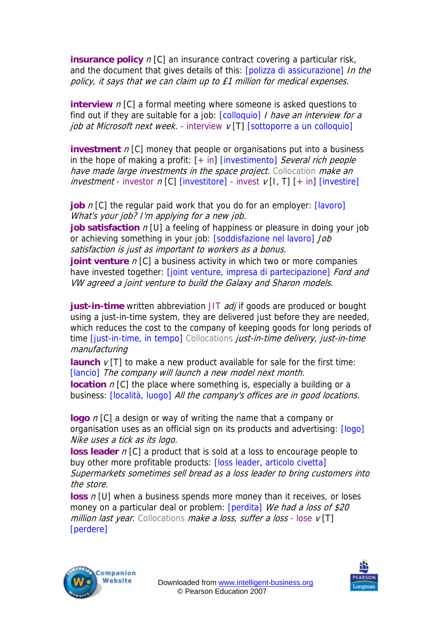**insurance policy** n [C] an insurance contract covering a particular risk, and the document that gives details of this: [polizza di assicurazione] In the policy, it says that we can claim up to £1 million for medical expenses.

**interview** *n* [C] a formal meeting where someone is asked questions to find out if they are suitable for a job:  $[colloquio]$  I have an interview for a job at Microsoft next week. - interview  $v[T]$  [sottoporre a un colloquio]

**investment**  $n$  [C] money that people or organisations put into a business in the hope of making a profit:  $[+ \text{in}]$  [investimento] Several rich people have made large investments in the space project. Collocation make an  $\textit{investment}$  - investor  $n$  [C] [investitore] - invest  $v$  [I, T] [+ in] [investire]

**job** *n* [C] the regular paid work that you do for an employer: [lavoro] What's your job? I'm applying for a new job.

**job satisfaction**  $n$  [U] a feeling of happiness or pleasure in doing your job or achieving something in your job: [soddisfazione nel lavoro] Job satisfaction is just as important to workers as a bonus.

**joint venture** *n* [C] a business activity in which two or more companies have invested together: [joint venture, impresa di partecipazione] Ford and VW agreed a joint venture to build the Galaxy and Sharon models.

manufacturing **just-in-time** written abbreviation JIT *adj* if goods are produced or bought using a just-in-time system, they are delivered just before they are needed, which reduces the cost to the company of keeping goods for long periods of time *[just-in-time, in tempo]* Collocations *just-in-time delivery, just-in-time* 

**launch**  $v[T]$  to make a new product available for sale for the first time: [lancio] The company will launch a new model next month.

business: [località, luogo] All the company's offices are in good locations. **location** *n* [C] the place where something is, especially a building or a

**logo** n [C] a design or way of writing the name that a company or organisation uses as an official sign on its products and advertising: [logo] Nike uses a tick as its logo.

**loss leader**  $n$  [C] a product that is sold at a loss to encourage people to buy other more profitable products: [loss leader, articolo civetta] Supermarkets sometimes sell bread as a loss leader to bring customers into the store.

**loss**  $n$  [U] when a business spends more money than it receives, or loses money on a particular deal or problem: [perdita] We had a loss of \$20 million last year. Collocations make a loss, suffer a loss - lose  $v[T]$ [perdere]



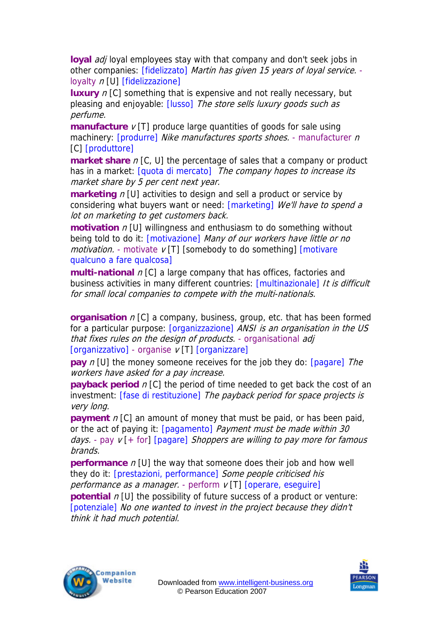loyal *adi* loyal employees stay with that company and don't seek jobs in other companies: [fidelizzato] Martin has given 15 years of loyal service. loyalty  $n$  [U] [fidelizzazione]

**luxury** *n* [C] something that is expensive and not really necessary, but pleasing and enjoyable: [lusso] The store sells luxury goods such as perfume.

**manufacture**  $v$  [T] produce large quantities of goods for sale using machinery: [produrre] Nike manufactures sports shoes. - manufacturer n [C] [produttore]

**market share** n [C, U] the percentage of sales that a company or product has in a market: [quota di mercato] The company hopes to increase its market share by 5 per cent next year.

**marketing**  $n$  [U] activities to design and sell a product or service by considering what buyers want or need: [marketing] We'll have to spend a lot on marketing to get customers back.

**motivation**  $n$  [U] willingness and enthusiasm to do something without being told to do it: [motivazione] Many of our workers have little or no  $motion.$  - motivate  $v$  [T] [somebody to do something]  $[motion.$ qualcuno a fare qualcosa]

business activities in many different countries: [multinazionale] It is difficult **multi-national**  $n$  [C] a large company that has offices, factories and for small local companies to compete with the multi-nationals.

for a particular purpose: [organizzazione] ANSI is an organisation in the US **organisation**  $n$  [C] a company, business, group, etc. that has been formed that fixes rules on the design of products. - organisational adj [organizzativo] - organise v [T] [organizzare]

**pay** *n* [U] the money someone receives for the job they do: [pagare] The workers have asked for a pay increase.

**payback period** n [C] the period of time needed to get back the cost of an investment: [fase di restituzione] The payback period for space projects is very long.

**payment** n [C] an amount of money that must be paid, or has been paid, or the act of paying it: [pagamento] Payment must be made within 30 days. - pay  $v$  [+ for] [pagare] Shoppers are willing to pay more for famous brands.

**performance** n [U] the way that someone does their job and how well they do it: [prestazioni, performance] Some people criticised his performance as a manager. - perform  $v[T]$  [operare, eseguire]

**potential** n [U] the possibility of future success of a product or venture: [potenziale] No one wanted to invest in the project because they didn't think it had much potential.



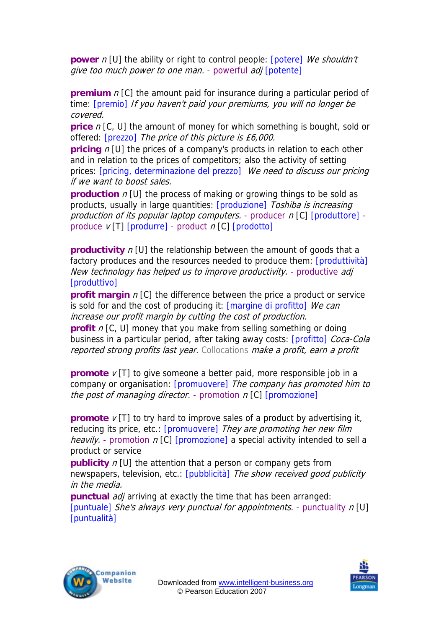**power** n [U] the ability or right to control people: **[potere]** We shouldn't give too much power to one man. - powerful adj [potente]

**premium** n [C] the amount paid for insurance during a particular period of time: **[premio]** If you haven't paid your premiums, you will no longer be covered.

**price** n [C, U] the amount of money for which something is bought, sold or offered: [prezzo] The price of this picture is £6,000.

**pricing**  $n$  [U] the prices of a company's products in relation to each other and in relation to the prices of competitors; also the activity of setting prices: [pricing, determinazione del prezzo] We need to discuss our pricing if we want to boost sales.

**production** *n* [U] the process of making or growing things to be sold as products, usually in large quantities: [produzione] Toshiba is increasing production of its popular laptop computers. - producer  $n$  [C] [produttore] produce  $V[T]$  [produrre] - product  $n$  [C] [prodotto]

**productivity** n [U] the relationship between the amount of goods that a factory produces and the resources needed to produce them: [produttività] New technology has helped us to improve productivity. - productive adj [produttivo]

**profit margin** n [C] the difference between the price a product or service is sold for and the cost of producing it: [margine di profitto] We can increase our profit margin by cutting the cost of production.

**profit** n [C, U] money that you make from selling something or doing business in a particular period, after taking away costs: [profitto] Coca-Cola reported strong profits last year. Collocations make a profit, earn a profit

**promote**  $v$  [T] to give someone a better paid, more responsible job in a company or organisation: [promuovere] The company has promoted him to the post of managing director. - promotion  $n$  [C] [promozione]

**promote**  $v[T]$  to try hard to improve sales of a product by advertising it, reducing its price, etc.: [promuovere] They are promoting her new film *heavily.* - promotion  $n [C]$  [promozione] a special activity intended to sell a product or service

**publicity** *n* [U] the attention that a person or company gets from newspapers, television, etc.: [pubblicità] The show received good publicity in the media.

**punctual** *adj* arriving at exactly the time that has been arranged: [puntuale] She's always very punctual for appointments. - punctuality n [U] [puntualità]



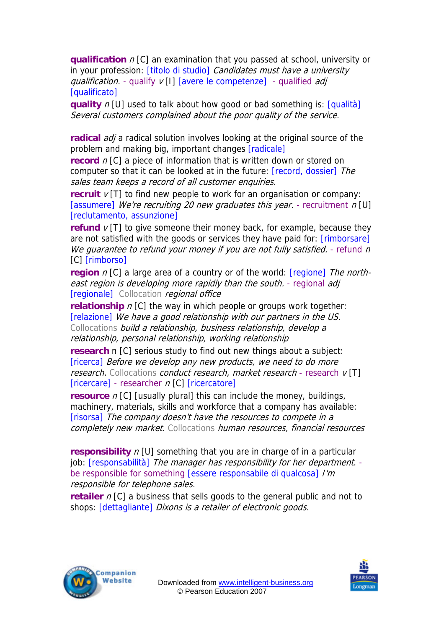**qualification**  $n$  [C] an examination that you passed at school, university or in your profession: [titolo di studio] Candidates must have a university qualification. - qualify  $v$  [I] [avere le competenze] - qualified adj [qualificato]

**quality** *n* [U] used to talk about how good or bad something is: *[qualità]* Several customers complained about the poor quality of the service.

**radical** *adj* a radical solution involves looking at the original source of the problem and making big, important changes [radicale]

**record** n [C] a piece of information that is written down or stored on computer so that it can be looked at in the future: [record, dossier] The sales team keeps a record of all customer enquiries.

**recruit**  $v$  [T] to find new people to work for an organisation or company: [assumere] We're recruiting 20 new graduates this year. - recruitment  $n$  [U] [reclutamento, assunzione]

We guarantee to refund your money if you are not fully satisfied. - refund n **refund**  $v[T]$  to give someone their money back, for example, because they are not satisfied with the goods or services they have paid for: [rimborsare] [C] [rimborso]

**region** n [C] a large area of a country or of the world: [regione] The northeast region is developing more rapidly than the south. - regional adj [regionale] Collocation regional office

**relationship** *n* [C] the way in which people or groups work together: [relazione] We have a good relationship with our partners in the US. Collocations build a relationship, business relationship, develop a relationship, personal relationship, working relationship

**research n** [C] serious study to find out new things about a subject: [ricerca] Before we develop any new products, we need to do more research. Collocations conduct research, market research - research v[T] [ricercare] - researcher n [C] [ricercatore]

**resource** *n* [C] [usually plural] this can include the money, buildings, machinery, materials, skills and workforce that a company has available: [risorsa] The company doesn't have the resources to compete in a completely new market. Collocations human resources, financial resources

job: [responsabilità] The manager has responsibility for her department. **responsibility**  $n$  [U] something that you are in charge of in a particular be responsible for something [essere responsabile di qualcosa] /'m responsible for telephone sales.

**retailer**  $n$  [C] a business that sells goods to the general public and not to shops: [dettagliante] Dixons is a retailer of electronic goods.



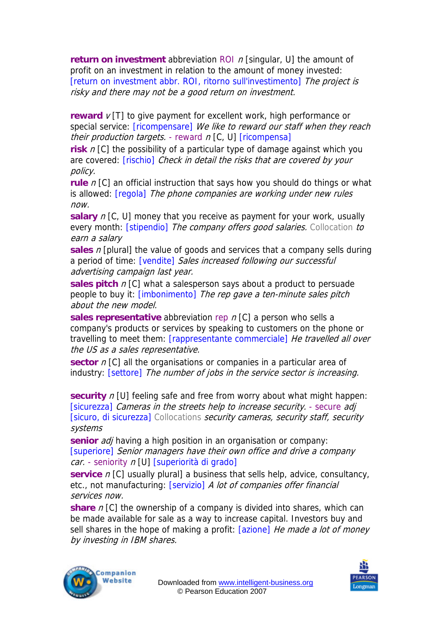**return on investment** abbreviation ROI n [singular, U] the amount of profit on an investment in relation to the amount of money invested: [return on investment abbr. ROI, ritorno sull'investimento] The project is risky and there may not be a good return on investment.

**reward**  $v[T]$  to give payment for excellent work, high performance or special service: [ricompensare] We like to reward our staff when they reach their production targets. - reward  $n$  [C, U] [ricompensa]

**risk** n [C] the possibility of a particular type of damage against which you are covered: [rischio] Check in detail the risks that are covered by your policy.

**rule** n [C] an official instruction that says how you should do things or what is allowed: *[regola] The phone companies are working under new rules* now.

**salary** n [C, U] money that you receive as payment for your work, usually every month: *[stipendio] The company offers good salaries*. Collocation to earn a salary

**sales** n [plural] the value of goods and services that a company sells during a period of time: [vendite] Sales increased following our successful advertising campaign last year.

**sales pitch** *n* [C] what a salesperson says about a product to persuade people to buy it: [imbonimento] The rep gave a ten-minute sales pitch about the new model.

**sales representative** abbreviation rep n [C] a person who sells a company's products or services by speaking to customers on the phone or travelling to meet them: [rappresentante commerciale] He travelled all over the US as a sales representative.

**sector** *n* [C] all the organisations or companies in a particular area of industry: [settore] The number of jobs in the service sector is increasing.

**security** *n* [U] feeling safe and free from worry about what might happen: [sicurezza] Cameras in the streets help to increase security. - secure adj [sicuro, di sicurezza] Collocations security cameras, security staff, security systems

**senior** adj having a high position in an organisation or company: [superiore] Senior managers have their own office and drive a company car. - seniority n [U] [superiorità di grado]

**service** *n* [C] usually plural] a business that sells help, advice, consultancy, etc., not manufacturing: [servizio] A lot of companies offer financial services now.

**share** n [C] the ownership of a company is divided into shares, which can be made available for sale as a way to increase capital. Investors buy and sell shares in the hope of making a profit: [azione] He made a lot of money by investing in IBM shares.



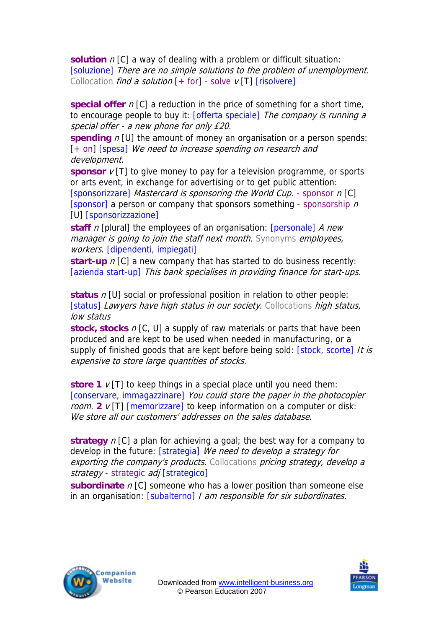**solution**  $n$  [C] a way of dealing with a problem or difficult situation: [soluzione] There are no simple solutions to the problem of unemployment. Collocation *find a solution*  $[+$  for] - solve  $\nu$  [T] [risolvere]

**special offer**  $n$  [C] a reduction in the price of something for a short time, to encourage people to buy it: [offerta speciale] The company is running a special offer - a new phone for only £20.

**spending**  $n$  [U] the amount of money an organisation or a person spends: [+ on] [spesa] We need to increase spending on research and development.

**sponsor**  $v$  [T] to give money to pay for a television programme, or sports or arts event, in exchange for advertising or to get public attention: [sponsorizzare] Mastercard is sponsoring the World Cup. - sponsor n [C] [sponsor] a person or company that sponsors something - sponsorship  $n$ [U] [sponsorizzazione]

**staff** *n* [plural] the employees of an organisation: [personale] *A new* manager is going to join the staff next month. Synonyms employees, workers. [dipendenti, impiegati]

[azienda start-up] This bank specialises in providing finance for start-ups. **start-up**  $n$  [C] a new company that has started to do business recently:

**status** n [U] social or professional position in relation to other people: [status] Lawyers have high status in our society. Collocations high status, low status

**stock, stocks** n [C, U] a supply of raw materials or parts that have been produced and are kept to be used when needed in manufacturing, or a supply of finished goods that are kept before being sold: [stock, scorte] It is expensive to store large quantities of stocks.

[conservare, immagazzinare] You could store the paper in the photocopier **store 1**  $v$  [T] to keep things in a special place until you need them: room. **2** v [T] [memorizzare] to keep information on a computer or disk: We store all our customers' addresses on the sales database.

develop in the future: [strategia] We need to develop a strategy for **strategy** n [C] a plan for achieving a goal; the best way for a company to exporting the company's products. Collocations pricing strategy, develop a strategy - strategic adj [strategico]

**subordinate** n [C] someone who has a lower position than someone else in an organisation: [subalterno] I am responsible for six subordinates.



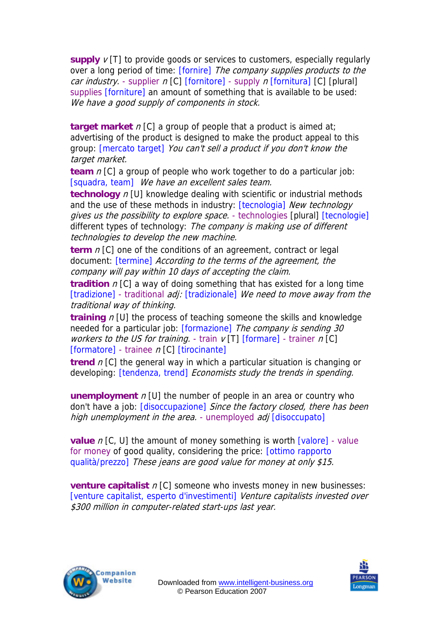**supply**  $v[T]$  to provide goods or services to customers, especially regularly over a long period of time: [fornire] The company supplies products to the *car industry.* - supplier  $n$  [C] [fornitore] - supply  $n$  [fornitura] [C] [plural] supplies [forniture] an amount of something that is available to be used: We have a good supply of components in stock.

**target market** n [C] a group of people that a product is aimed at; advertising of the product is designed to make the product appeal to this group: [mercato target] You can't sell a product if you don't know the target market.

**team** n [C] a group of people who work together to do a particular job: [squadra, team] We have an excellent sales team.

**technology** *n* [U] knowledge dealing with scientific or industrial methods and the use of these methods in industry: [tecnologia] New technology gives us the possibility to explore space. - technologies [plural] [tecnologie] different types of technology: The company is making use of different technologies to develop the new machine.

**term** *n* [C] one of the conditions of an agreement, contract or legal document: *[termine] According to the terms of the agreement, the* company will pay within 10 days of accepting the claim.

**tradition**  $n$  [C] a way of doing something that has existed for a long time [tradizione] - traditional adj: [tradizionale] We need to move away from the traditional way of thinking.

**training** n [U] the process of teaching someone the skills and knowledge needed for a particular job: [formazione] The company is sending 30 workers to the US for training. - train  $v[T]$  [formare] - trainer n [C] [formatore] - trainee  $n$  [C] [tirocinante]

**trend** n [C] the general way in which a particular situation is changing or developing: [tendenza, trend] Economists study the trends in spending.

**unemployment** n [U] the number of people in an area or country who don't have a job: [disoccupazione] Since the factory closed, there has been high unemployment in the area. - unemployed adj [disoccupato]

**value** n [C, U] the amount of money something is worth [valore] - value for money of good quality, considering the price: [ottimo rapporto qualità/prezzo] These jeans are good value for money at only \$15.

**venture capitalist**  $n$  [C] someone who invests money in new businesses: [venture capitalist, esperto d'investimenti] Venture capitalists invested over \$300 million in computer-related start-ups last year.